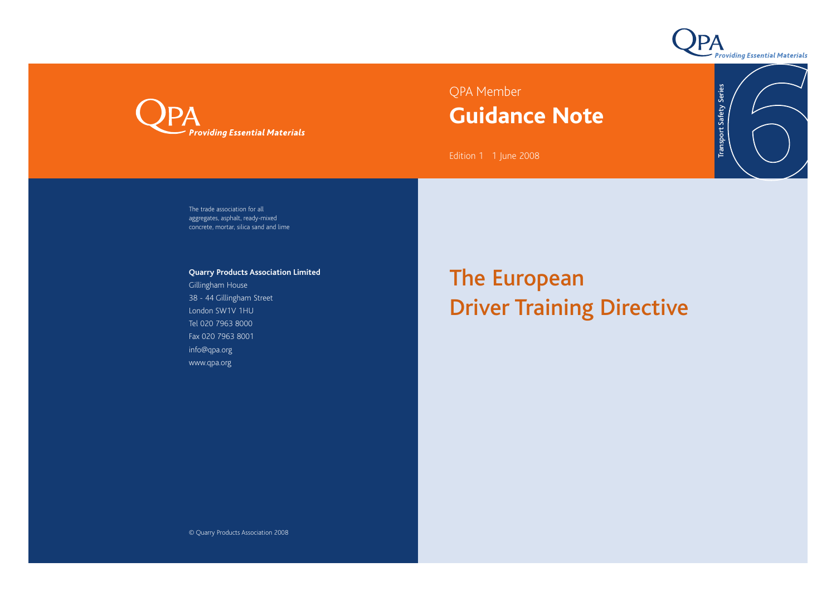

Transport Safety Series

**Transport Safety Series** 



## QPA Member **Guidance Note**

Edition 1 1 June 2008

The trade association for all aggregates, asphalt, ready-mixed concrete, mortar, silica sand and lime

**Quarry Products Association Limited**

Gillingham House 38 - 44 Gillingham Street London SW1V 1HU Tel 020 7963 8000 Fax 020 7963 8001 info@qpa.org www.qpa.org

## The European Driver Training Directive

© Quarry Products Association 2008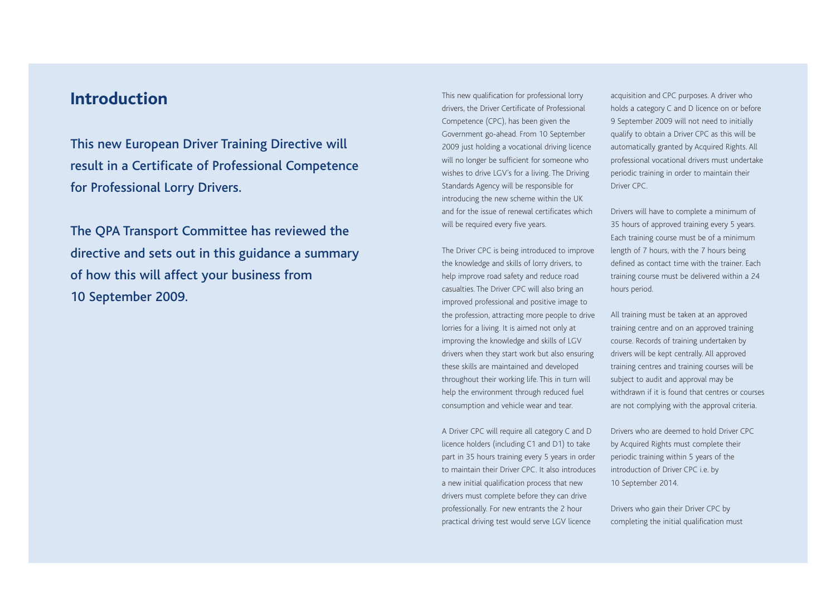## **Introduction**

This new European Driver Training Directive will result in a Certificate of Professional Competence for Professional Lorry Drivers.

The QPA Transport Committee has reviewed the directive and sets out in this guidance a summary of how this will affect your business from 10 September 2009.

This new qualification for professional lorry drivers, the Driver Certificate of Professional Competence (CPC), has been given the Government go-ahead. From 10 September 2009 just holding a vocational driving licence will no longer be sufficient for someone who wishes to drive LGV's for a living. The Driving Standards Agency will be responsible for introducing the new scheme within the UK and for the issue of renewal certificates which will be required every five years.

The Driver CPC is being introduced to improve the knowledge and skills of lorry drivers, to help improve road safety and reduce road casualties. The Driver CPC will also bring an improved professional and positive image to the profession, attracting more people to drive lorries for a living. It is aimed not only at improving the knowledge and skills of LGV drivers when they start work but also ensuring these skills are maintained and developed throughout their working life. This in turn will help the environment through reduced fuel consumption and vehicle wear and tear.

A Driver CPC will require all category C and D licence holders (including C1 and D1) to take part in 35 hours training every 5 years in order to maintain their Driver CPC. It also introduces a new initial qualification process that new drivers must complete before they can drive professionally. For new entrants the 2 hour practical driving test would serve LGV licence

acquisition and CPC purposes. A driver who holds a category C and D licence on or before 9 September 2009 will not need to initially qualify to obtain a Driver CPC as this will be automatically granted by Acquired Rights. All professional vocational drivers must undertake periodic training in order to maintain their Driver CPC

Drivers will have to complete a minimum of 35 hours of approved training every 5 years. Each training course must be of a minimum length of 7 hours, with the 7 hours being defined as contact time with the trainer. Each training course must be delivered within a 24 hours period.

All training must be taken at an approved training centre and on an approved training course. Records of training undertaken by drivers will be kept centrally. All approved training centres and training courses will be subject to audit and approval may be withdrawn if it is found that centres or courses are not complying with the approval criteria.

Drivers who are deemed to hold Driver CPC by Acquired Rights must complete their periodic training within 5 years of the introduction of Driver CPC i.e. by 10 September 2014.

Drivers who gain their Driver CPC by completing the initial qualification must